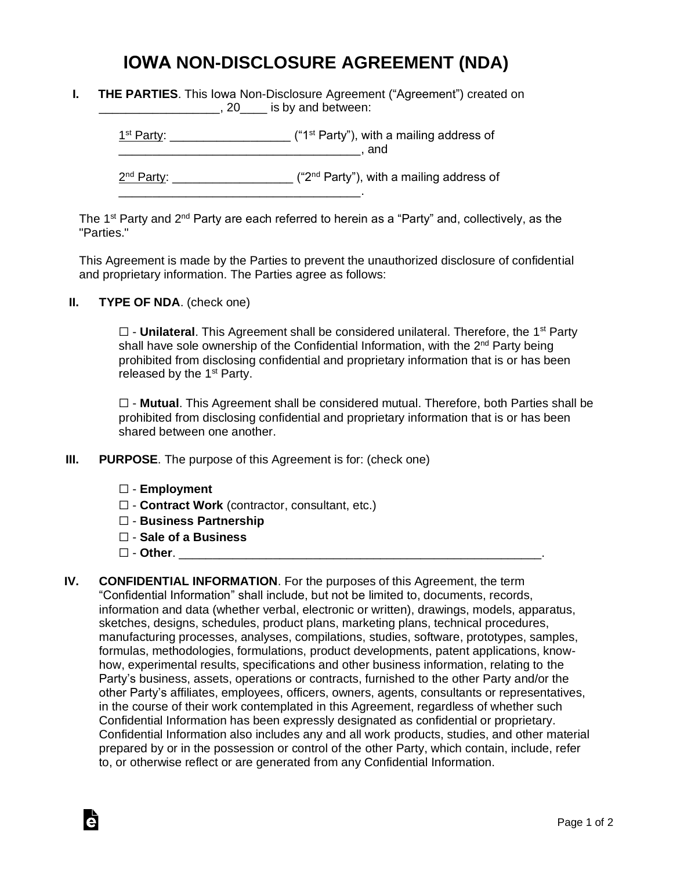## **IOWA NON-DISCLOSURE AGREEMENT (NDA)**

| <b>THE PARTIES.</b> This lowa Non-Disclosure Agreement ("Agreement") created on |  |
|---------------------------------------------------------------------------------|--|
| $, 20$ is by and between:                                                       |  |

 $1<sup>st</sup> Party: _______$  $\blacksquare$  and  $\blacksquare$ 

2<sup>nd</sup> Party: \_\_\_\_\_\_\_\_\_\_\_\_\_\_\_\_\_\_\_\_ ("2<sup>nd</sup> Party"), with a mailing address of

The 1<sup>st</sup> Party and 2<sup>nd</sup> Party are each referred to herein as a "Party" and, collectively, as the "Parties."

This Agreement is made by the Parties to prevent the unauthorized disclosure of confidential and proprietary information. The Parties agree as follows:

**II. TYPE OF NDA**. (check one)

□ - **Unilateral**. This Agreement shall be considered unilateral. Therefore, the 1<sup>st</sup> Party shall have sole ownership of the Confidential Information, with the 2<sup>nd</sup> Party being prohibited from disclosing confidential and proprietary information that is or has been released by the  $1<sup>st</sup>$  Party.

☐ - **Mutual**. This Agreement shall be considered mutual. Therefore, both Parties shall be prohibited from disclosing confidential and proprietary information that is or has been shared between one another.

**III. PURPOSE**. The purpose of this Agreement is for: (check one)

\_\_\_\_\_\_\_\_\_\_\_\_\_\_\_\_\_\_\_\_\_\_\_\_\_\_\_\_\_\_\_\_\_\_\_\_.

- ☐ **Employment**
- ☐ **Contract Work** (contractor, consultant, etc.)
- ☐ **Business Partnership**
- ☐ **Sale of a Business**
- ☐ **Other**. \_\_\_\_\_\_\_\_\_\_\_\_\_\_\_\_\_\_\_\_\_\_\_\_\_\_\_\_\_\_\_\_\_\_\_\_\_\_\_\_\_\_\_\_\_\_\_\_\_\_\_\_\_\_.

Ġ

**IV. CONFIDENTIAL INFORMATION**. For the purposes of this Agreement, the term "Confidential Information" shall include, but not be limited to, documents, records, information and data (whether verbal, electronic or written), drawings, models, apparatus, sketches, designs, schedules, product plans, marketing plans, technical procedures, manufacturing processes, analyses, compilations, studies, software, prototypes, samples, formulas, methodologies, formulations, product developments, patent applications, knowhow, experimental results, specifications and other business information, relating to the Party's business, assets, operations or contracts, furnished to the other Party and/or the other Party's affiliates, employees, officers, owners, agents, consultants or representatives, in the course of their work contemplated in this Agreement, regardless of whether such Confidential Information has been expressly designated as confidential or proprietary. Confidential Information also includes any and all work products, studies, and other material prepared by or in the possession or control of the other Party, which contain, include, refer to, or otherwise reflect or are generated from any Confidential Information.